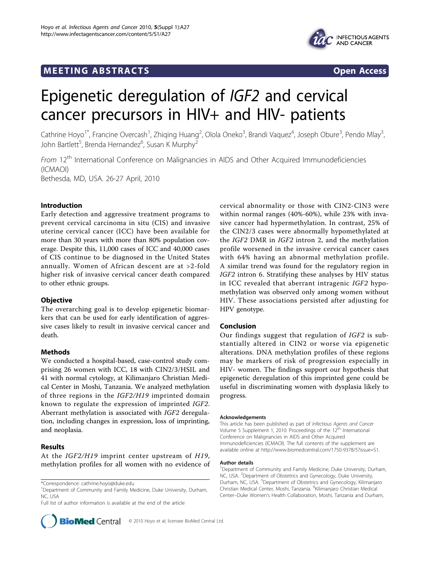## MEETING ABSTRACTS ASSESSED AND THE SERVICE OF A SERVICE SERVICE SERVICE SERVICE SERVICE SERVICE SERVICE SERVICE SERVICE SERVICE SERVICE SERVICE SERVICE SERVICE SERVICE SERVICE SERVICE SERVICE SERVICE SERVICE SERVICE SERVIC



# Epigenetic deregulation of IGF2 and cervical cancer precursors in HIV+ and HIV- patients

Cathrine Hoyo<sup>1\*</sup>, Francine Overcash<sup>1</sup>, Zhiqing Huang<sup>2</sup>, Olola Oneko<sup>3</sup>, Brandi Vaquez<sup>4</sup>, Joseph Obure<sup>3</sup>, Pendo Mlay<sup>3</sup> , John Bartlett<sup>5</sup>, Brenda Hernandez<sup>6</sup>, Susan K Murphy<sup>2</sup>

From 12<sup>th</sup> International Conference on Malignancies in AIDS and Other Acquired Immunodeficiencies (ICMAOI) Bethesda, MD, USA. 26-27 April, 2010

#### Introduction

Early detection and aggressive treatment programs to prevent cervical carcinoma in situ (CIS) and invasive uterine cervical cancer (ICC) have been available for more than 30 years with more than 80% population coverage. Despite this, 11,000 cases of ICC and 40,000 cases of CIS continue to be diagnosed in the United States annually. Women of African descent are at >2-fold higher risk of invasive cervical cancer death compared to other ethnic groups.

#### **Objective**

The overarching goal is to develop epigenetic biomarkers that can be used for early identification of aggressive cases likely to result in invasive cervical cancer and death.

## **Methods**

We conducted a hospital-based, case-control study comprising 26 women with ICC, 18 with CIN2/3/HSIL and 41 with normal cytology, at Kilimanjaro Christian Medical Center in Moshi, Tanzania. We analyzed methylation of three regions in the IGF2/H19 imprinted domain known to regulate the expression of imprinted IGF2. Aberrant methylation is associated with IGF2 deregulation, including changes in expression, loss of imprinting, and neoplasia.

## Results

At the IGF2/H19 imprint center upstream of H19, methylation profiles for all women with no evidence of

<sup>1</sup>Department of Community and Family Medicine, Duke University, Durham, NC, USA

Full list of author information is available at the end of the article

**BioMed** Central © 2010 Hoyo et al; licensee BioMed Central Ltd.

cervical abnormality or those with CIN2-CIN3 were within normal ranges (40%-60%), while 23% with invasive cancer had hypermethylation. In contrast, 25% of the CIN2/3 cases were abnormally hypomethylated at the IGF2 DMR in IGF2 intron 2, and the methylation profile worsened in the invasive cervical cancer cases with 64% having an abnormal methylation profile. A similar trend was found for the regulatory region in IGF2 intron 6. Stratifying these analyses by HIV status in ICC revealed that aberrant intragenic IGF2 hypomethylation was observed only among women without HIV. These associations persisted after adjusting for HPV genotype.

#### Conclusion

Our findings suggest that regulation of IGF2 is substantially altered in CIN2 or worse via epigenetic alterations. DNA methylation profiles of these regions may be markers of risk of progression especially in HIV- women. The findings support our hypothesis that epigenetic deregulation of this imprinted gene could be useful in discriminating women with dysplasia likely to progress.

#### Acknowledgements

This article has been published as part of Infectious Agents and Cancer Volume 5 Supplement 1, 2010: Proceedings of the 12<sup>th</sup> International Conference on Malignancies in AIDS and Other Acquired Immunodeficiencies (ICMAOI). The full contents of the supplement are available online at [http://www.biomedcentral.com/1750-9378/5?issue=S1.](http://www.biomedcentral.com/1750-9378/5?issue=S1)

#### Author details

<sup>1</sup>Department of Community and Family Medicine, Duke University, Durham, NC, USA. <sup>2</sup>Department of Obstetrics and Gynecology, Duke University, Durham, NC, USA. <sup>3</sup>Department of Obstetrics and Gynecology, Kilimanjaro Christian Medical Center, Moshi, Tanzania. <sup>4</sup>Kilimanjaro Christian Medical Center–Duke Women's Health Collaboration, Moshi, Tanzania and Durham,

<sup>\*</sup>Correspondence: [cathrine.hoyo@duke.edu](mailto:cathrine.hoyo@duke.edu)